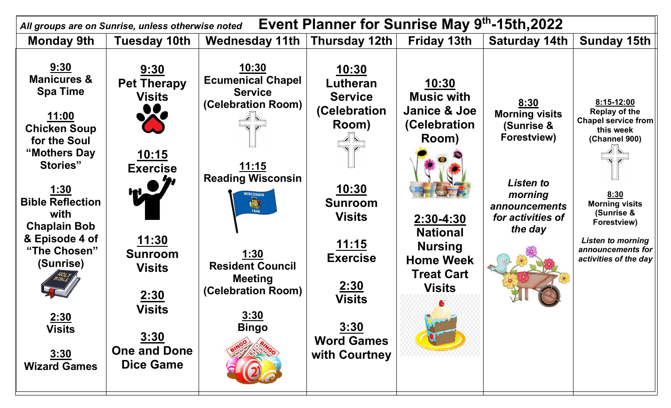| Event Planner for Sunrise May 9th-15th, 2022<br>All groups are on Sunrise, unless otherwise noted                                                                                                                                                                                                             |                                                                                                                                                                                                                             |                                                                                                                                                                                                                                                         |                                                                                                                                                                                                                                                                                              |                                                                                                                                                                                                |                                                                                                                                            |                                                                                                                                                                                                                                        |
|---------------------------------------------------------------------------------------------------------------------------------------------------------------------------------------------------------------------------------------------------------------------------------------------------------------|-----------------------------------------------------------------------------------------------------------------------------------------------------------------------------------------------------------------------------|---------------------------------------------------------------------------------------------------------------------------------------------------------------------------------------------------------------------------------------------------------|----------------------------------------------------------------------------------------------------------------------------------------------------------------------------------------------------------------------------------------------------------------------------------------------|------------------------------------------------------------------------------------------------------------------------------------------------------------------------------------------------|--------------------------------------------------------------------------------------------------------------------------------------------|----------------------------------------------------------------------------------------------------------------------------------------------------------------------------------------------------------------------------------------|
| <b>Monday 9th</b>                                                                                                                                                                                                                                                                                             | Tuesday 10th                                                                                                                                                                                                                | Wednesday 11th Thursday 12th                                                                                                                                                                                                                            |                                                                                                                                                                                                                                                                                              | Friday 13th                                                                                                                                                                                    | <b>Saturday 14th</b>                                                                                                                       | Sunday 15th                                                                                                                                                                                                                            |
| 9:30<br><b>Manicures &amp;</b><br><b>Spa Time</b><br>11:00<br><b>Chicken Soup</b><br>for the Soul<br>"Mothers Day<br><b>Stories"</b><br><u>1:30</u><br><b>Bible Reflection</b><br>with<br><b>Chaplain Bob</b><br>& Episode 4 of<br>"The Chosen"<br>(Sunrise)<br>2:30<br>Visits<br>3:30<br><b>Wizard Games</b> | 9:30<br><b>Pet Therapy</b><br><b>Visits</b><br>X<br><u> 10:15</u><br><b>Exercise</b><br><u> 11:30</u><br><b>Sunroom</b><br><b>Visits</b><br>2:30<br><b>Visits</b><br><u>3:30</u><br><b>One and Done</b><br><b>Dice Game</b> | <u> 10:30 </u><br><b>Ecumenical Chapel</b><br><b>Service</b><br>(Celebration Room)<br><u> 11:15</u><br><b>Reading Wisconsin</b><br>180<br><u>1:30</u><br><b>Resident Council</b><br><b>Meeting</b><br>(Celebration Room)<br><u>3:30</u><br><b>Bingo</b> | 10:30<br>Lutheran<br><b>Service</b><br>(Celebration<br>Room)<br>$\overline{\mathbf{v}}$ $\overline{\mathbf{v}}$<br><u> 10:30</u><br><b>Sunroom</b><br><b>Visits</b><br><u> 11:15</u><br><b>Exercise</b><br><u>2:30</u><br><b>Visits</b><br><u>3:30</u><br><b>Word Games</b><br>with Courtney | 10:30<br><b>Music with</b><br><b>Janice &amp; Joe</b><br>(Celebration<br>Room)<br>$2:30 - 4:30$<br><b>National</b><br><b>Nursing</b><br><b>Home Week</b><br><b>Treat Cart</b><br><b>Visits</b> | 8:30<br><b>Morning visits</b><br>(Sunrise &<br>Forestview)<br>Listen to<br>morning<br><i>announcements</i><br>for activities of<br>the day | 8:15-12:00<br><b>Replay of the</b><br><b>Chapel service from</b><br>this week<br>(Channel 900)<br>8:30<br><b>Morning visits</b><br>(Sunrise &<br>Forestview)<br><b>Listen to morning</b><br>announcements for<br>activities of the day |